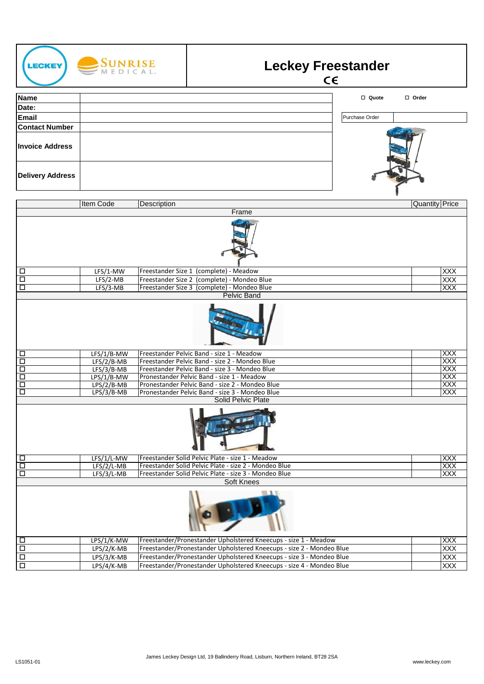

| LPS/1/K-MW   | Freestander/Pronestander Upholstered Kneecups - size 1 - Meadow      | IXXX       |
|--------------|----------------------------------------------------------------------|------------|
| $LPS/2/K-MB$ | Freestander/Pronestander Upholstered Kneecups - size 2 - Mondeo Blue | <b>XXX</b> |
| $LPS/3/K-MB$ | Freestander/Pronestander Upholstered Kneecups - size 3 - Mondeo Blue | <b>XXX</b> |
| LPS/4/K-MB   | Freestander/Pronestander Upholstered Kneecups - size 4 - Mondeo Blue | <b>XXX</b> |